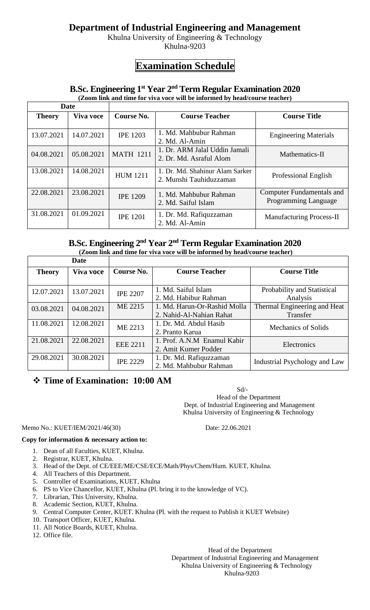## **Department of Industrial Engineering and Management**

Khulna University of Engineering & Technology Khulna-9203

# **Examination Schedule**

## **B.Sc. Engineering 1 st Year 2nd Term Regular Examination 2020**

**(Zoom link and time for viva voce will be informed by head/course teacher)**

| <b>Date</b>   |            |                  |                                                            |                                                                 |
|---------------|------------|------------------|------------------------------------------------------------|-----------------------------------------------------------------|
| <b>Theory</b> | Viva voce  | Course No.       | <b>Course Teacher</b>                                      | <b>Course Title</b>                                             |
| 13.07.2021    | 14.07.2021 | <b>IPE 1203</b>  | 1. Md. Mahbubur Rahman<br>2. Md. Al-Amin                   | <b>Engineering Materials</b>                                    |
| 04.08.2021    | 05.08.2021 | <b>MATH 1211</b> | 1. Dr. ARM Jalal Uddin Jamali<br>2. Dr. Md. Asraful Alom   | Mathematics-II                                                  |
| 13.08.2021    | 14.08.2021 | <b>HUM 1211</b>  | 1. Dr. Md. Shahinur Alam Sarker<br>2. Munshi Tauhiduzzaman | Professional English                                            |
| 22.08.2021    | 23.08.2021 | <b>IPE 1209</b>  | 1. Md. Mahbubur Rahman<br>2. Md. Saiful Islam              | <b>Computer Fundamentals and</b><br><b>Programming Language</b> |
| 31.08.2021    | 01.09.2021 | <b>IPE 1201</b>  | 1. Dr. Md. Rafiquzzaman<br>2. Md. Al-Amin                  | <b>Manufacturing Process-II</b>                                 |

## **B.Sc. Engineering 2 nd Year 2nd Term Regular Examination 2020**

**(Zoom link and time for viva voce will be informed by head/course teacher)**

|               | Date             |                 |                                                          |                                          |
|---------------|------------------|-----------------|----------------------------------------------------------|------------------------------------------|
| <b>Theory</b> | <b>Viva voce</b> | Course No.      | <b>Course Teacher</b>                                    | <b>Course Title</b>                      |
| 12.07.2021    | 13.07.2021       | <b>IPE 2207</b> | 1. Md. Saiful Islam<br>2. Md. Habibur Rahman             | Probability and Statistical<br>Analysis  |
| 03.08.2021    | 04.08.2021       | ME 2215         | 1. Md. Harun-Or-Rashid Molla<br>2. Nahid-Al-Nahian Rahat | Thermal Engineering and Heat<br>Transfer |
| 11.08.2021    | 12.08.2021       | ME 2213         | 1. Dr. Md. Abdul Hasib<br>2. Pranto Karua                | <b>Mechanics of Solids</b>               |
| 21.08.2021    | 22.08.2021       | <b>EEE 2211</b> | 1. Prof. A.N.M Enamul Kabir<br>2. Amit Kumer Podder      | Electronics                              |
| 29.08.2021    | 30.08.2021       | <b>IPE 2229</b> | 1. Dr. Md. Rafiquzzaman<br>2. Md. Mahbubur Rahman        | Industrial Psychology and Law            |

## **Time of Examination: 10:00 AM**

 Sd/- Head of the Department Dept. of Industrial Engineering and Management Khulna University of Engineering & Technology

### Memo No.: KUET/IEM/2021/46(30) Date: 22.06.2021

### **Copy for information & necessary action to:**

- 1. Dean of all Faculties, KUET, Khulna.
- 2. Registrar, KUET, Khulna.
- 3. Head of the Dept. of CE/EEE/ME/CSE/ECE/Math/Phys/Chem/Hum. KUET, Khulna.
- 4. All Teachers of this Department.
- 5. Controller of Examinations, KUET, Khulna
- 6. PS to Vice Chancellor, KUET, Khulna (Pl. bring it to the knowledge of VC).
- 7. Librarian, This University, Khulna.
- 8. Academic Section, KUET, Khulna.
- 9. Central Computer Center, KUET. Khulna (Pl. with the request to Publish it KUET Website)
- 10. Transport Officer, KUET, Khulna.
- 11. All Notice Boards, KUET, Khulna.
- 12. Office file.

Head of the Department

 Department of Industrial Engineering and Management Khulna University of Engineering & Technology

#### Khulna-9203